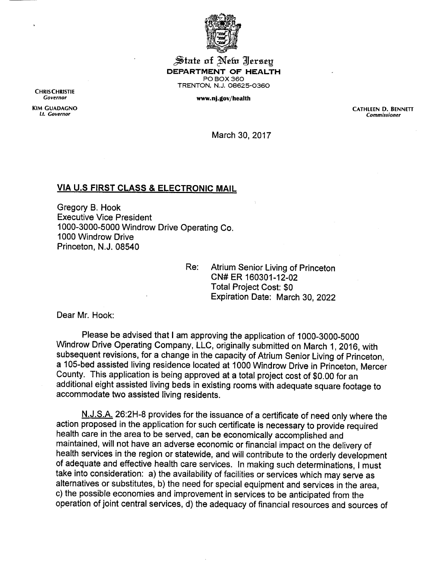

State of New Jersey *DEPARTMENT OF HEALTH* PO BOX 360 TRENTON, N.J. 08625-0360

*Governor WWW.nj.gOV/health*

*CHRISCHRISTIE*

*KIM GUADAGNO CATHLEEN D. BENNETT Lt. Governor Commissioner*

March 30, 2017

## *VIA U.S FIRST CLASS & ELECTRONIC MAIL*

Gregory B. Hook Executive Vice President 1000-3000-5000 Windrow Drive Operating Co. 1000 Windrow Drive Princeton, N.J. 08540

> Re: Atrium Senior Living of Princeton CN#ER 160301-12-02 Total Project Cost: \$0 Expiration Date: March 30, 2022

Dear Mr. Hook:

Please be advised that I am approving the application of 1000-3000-5000 Windrow Drive Operating Company, LLC, originally submitted on March 1, 2016, with subsequent revisions, for a change in the capacity of Atrium Senior Living of Princeton, a 105-bed assisted living residence located at 1000 Windrow Drive in Princeton, Mercer County. This application is being approved at a total project cost of \$0.00 for an additional eight assisted living beds in existing rooms with adequate square footage to accommodate two assisted living residents.

N.J.S.A. 26:2H-8 provides for the issuance of a certificate of need only where the action proposed in the application for such certificate is necessary to provide required health care in the area to be served, can be economically accomplished and maintained, will not have an adverse economic or financial impact on the delivery of health services in the region or statewide, and will contribute to the orderly development of adequate and effective health care services. In making such determinations, Imust take into consideration: a) the availability of facilities or services which may serve as alternatives or substitutes, b) the need for special equipment and services in the area, c) the possible economies and improvement in services to be anticipated from the operation of joint central services, d) the adequacy of financial resources and sources of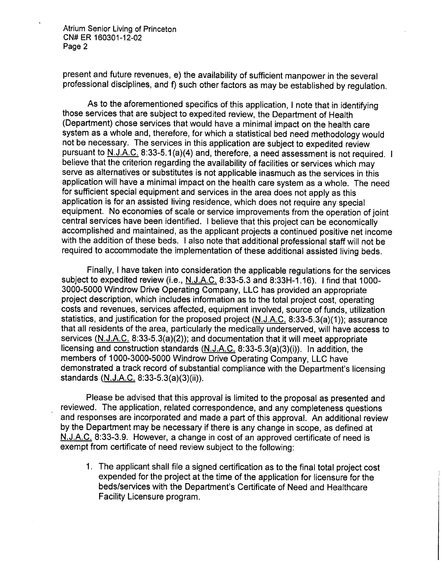Atrium Senior Living of Princeton CN#ER 160301-12-02 Page 2

present and future revenues, e) the availability of sufficient manpower in the several professional disciplines, and f) such other factors as may be established by regulation.

As to the aforementioned specifics of this application, I note that in identifying those services that are subject to expedited review, the Department of Health (Department) chose services that would have a minimal impact on the health care system as a whole and, therefore, for which a statistical bed need methodology would not be necessary. The services in this application are subject to expedited review pursuant to N.J.A.C. 8:33-5.1(a)(4) and, therefore, a need assessment is not required. I believe that the criterion regarding the availability of facilities or services which may serve as alternatives or substitutes is not applicable inasmuch as the services in this application will have a minimal impact on the health care system as a whole. The need for sufficient special equipment and services in the area does not apply as this application is for an assisted living residence, which does not require any special equipment. No economies of scale or service improvements from the operation of joint central services have been identified. I believe that this project can be economically accomplished and maintained, as the applicant projects a continued positive net income with the addition of these beds. I also note that additional professional staff will not be required to accommodate the implementation of these additional assisted living beds.

Finally, I have taken into consideration the applicable regulations for the services subject to expedited review (i.e., N.J.A.C. 8:33-5.3 and 8:33H-1.16). Ifind that 1000- 3000-5000 Windrow Drive Operating Company, LLC has provided an appropriate project description, which includes information as to the total project cost, operating costs and revenues, services affected, equipment involved, source of funds, utilization statistics, and justification for the proposed project (N.J.A.C. 8:33-5.3(a)(1)); assurance that all residents of the area, particularly the medically underserved, will have access to services (N.J.A.C. 8:33-5.3(a)(2)); and documentation that itwill meet appropriate licensing and construction standards (N.J.A.C. 8:33-5.3(a)(3)(i)). In addition, the members of 1000-3000-5000 Windrow Drive Operating Company, LLC have demonstrated a track record of substantial compliance with the Department's licensing standards (N.J.A.C. 8:33-5.3(a)(3)(ii)).

Please be advised that this approval is limited to the proposal as presented and reviewed. The application, related correspondence, and any completeness questions and responses are incorporated and made a part of this approval. An additional review by the Department may be necessary if there is any change in scope, as defined at N.J.A.C. 8:33-3.9. However, a change in cost of an approved certificate of need is exempt from certificate of need review subject to the following:

1. The applicant shall file a signed certification as to the final total project cost expended for the project at the time of the application for licensure for the beds/services with the Department's Certificate of Need and Healthcare Facility Licensure program.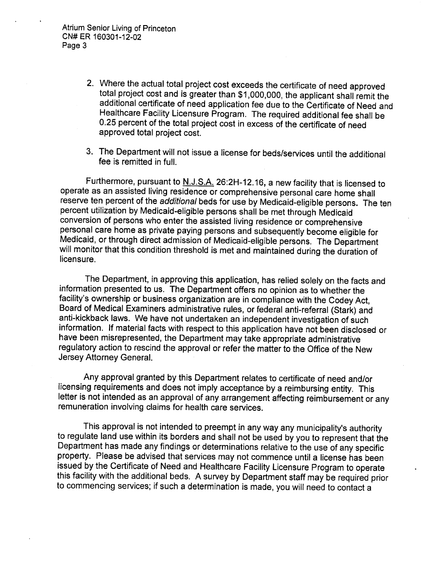Atrium Senior Living of Princeton CN#ER 160301-12-02 Page 3

- 2. Where the actual total project cost exceeds the certificate of need approved total project cost and is greater than \$1,000,000, the applicant shall remit the additional certificate of need application fee due to the Certificate of Need and Healthcare Facility Licensure Program. The required additional fee shall be 0.25 percent of the total project cost in excess of the certificate of need approved total project cost.
- 3. The Department will not issue a license for beds/services until the additional fee is remitted in full.

Furthermore, pursuant to N.J.S.A. 26:2H-12.16, a new facility that is licensed to operate as an assisted living residence or comprehensive personal care home shall reserve ten percent of the *additional* beds for use by Medicaid-eligible persons. The ten percent utilization by Medicaid-eligible persons shall be met through Medicaid conversion of personswho enter the assisted living residence or comprehensive personal care home as private paying persons and subsequently become eligible for Medicaid, or through direct admission of Medicaid-eligible persons. The Department will monitor that this condition threshold is met and maintained during the duration of licensure.

The Department, in approving this application, has relied solely on the facts and information presented to us. The Department offers no opinion as to whether the facility's ownership or business organization are in compliance with the Codey Act, Board of Medical Examiners administrative rules, or federal anti-referral (Stark) and anti-kickback laws. We have not undertaken an independent investigation of such information. If material facts with respect to this application have not been disclosed or have been misrepresented, the Department may take appropriate administrative regulatory action to rescind the approval or refer the matter to the Office of the New Jersey Attorney General.

Any approval granted by this Department relates to certificate of need and/or licensing requirements and does not imply acceptance by a reimbursing entity. This letter is not intended as an approval of any arrangement affecting reimbursement or any remuneration involving claims for health care services.

This approval is not intended to preempt in any way any municipality's authority to regulate land use within its borders and shall not be used by you to represent that the Department has made any findings or determinations relative to the use of any specific property. Please be advised that services may not commence until a license has been issued by the Certificate of Need and Healthcare Facility Licensure Program to operate this facility with the additional beds. Asurvey by Department staff may be required prior to commencing services; if such a determination is made, you will need to contact a